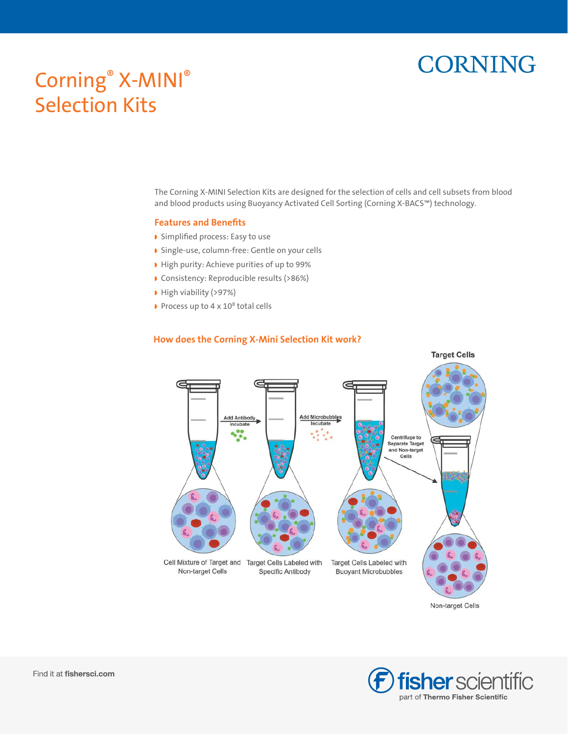# **CORNING**

## Corning® X-MINI® Selection Kits

The Corning X-MINI Selection Kits are designed for the selection of cells and cell subsets from blood and blood products using Buoyancy Activated Cell Sorting (Corning X-BACS™) technology.

#### **Features and Benefits**

- ◗ Simplified process: Easy to use
- ◗ Single-use, column-free: Gentle on your cells
- ◗ High purity: Achieve purities of up to 99%
- ◗ Consistency: Reproducible results (>86%)
- ◗ High viability (>97%)
- ◗ Process up to 4 x 10<sup>8</sup> total cells



#### **How does the Corning X-Mini Selection Kit work?**

Non-target Cells